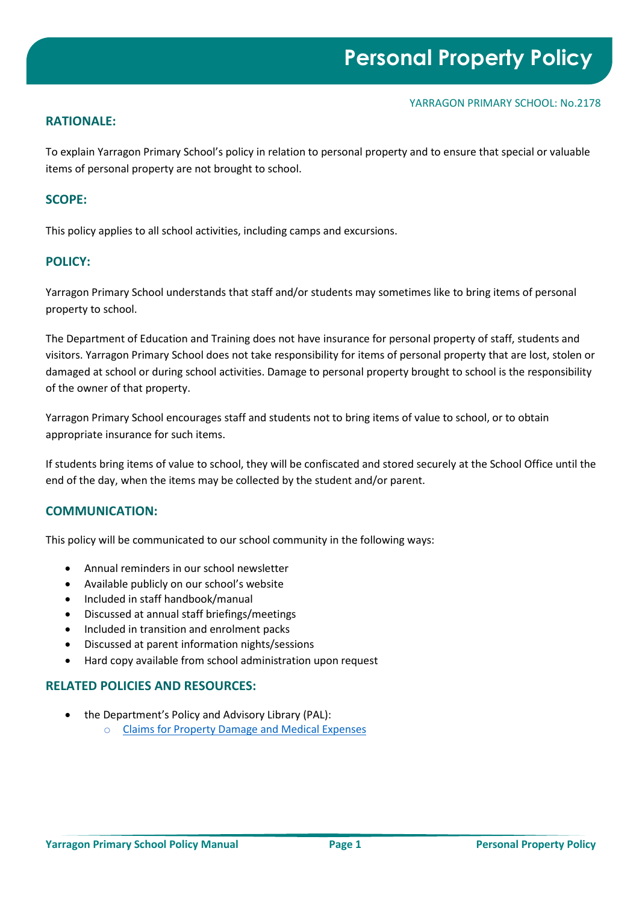### **RATIONALE:**

To explain Yarragon Primary School's policy in relation to personal property and to ensure that special or valuable items of personal property are not brought to school.

## **SCOPE:**

This policy applies to all school activities, including camps and excursions.

### **POLICY:**

Yarragon Primary School understands that staff and/or students may sometimes like to bring items of personal property to school.

The Department of Education and Training does not have insurance for personal property of staff, students and visitors. Yarragon Primary School does not take responsibility for items of personal property that are lost, stolen or damaged at school or during school activities. Damage to personal property brought to school is the responsibility of the owner of that property.

Yarragon Primary School encourages staff and students not to bring items of value to school, or to obtain appropriate insurance for such items.

If students bring items of value to school, they will be confiscated and stored securely at the School Office until the end of the day, when the items may be collected by the student and/or parent.

#### **COMMUNICATION:**

This policy will be communicated to our school community in the following ways:

- Annual reminders in our school newsletter
- Available publicly on our school's website
- Included in staff handbook/manual
- Discussed at annual staff briefings/meetings
- Included in transition and enrolment packs
- Discussed at parent information nights/sessions
- Hard copy available from school administration upon request

#### **RELATED POLICIES AND RESOURCES:**

- the Department's Policy and Advisory Library (PAL):
	- o [Claims for Property Damage and Medical Expenses](https://www2.education.vic.gov.au/pal/claims-property-damage-and-medical-expenses/policy)